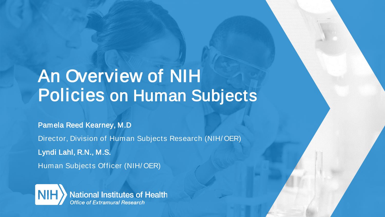### An Overview of NIH Policies on Human Subjects

Pamela Reed Kearney, M.D Director, Division of Human Subjects Research (NIH/ OER) Lyndi Lahl, R.N., M.S. Human Subjects Officer (NIH/ OER)



**National Institutes of Health Office of Extramural Research**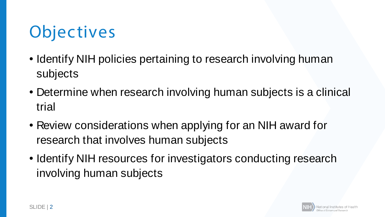## **Objectives**

- Identify NIH policies pertaining to research involving human subjects
- Determine when research involving human subjects is a clinical trial
- Review considerations when applying for an NIH award for research that involves human subjects
- Identify NIH resources for investigators conducting research involving human subjects

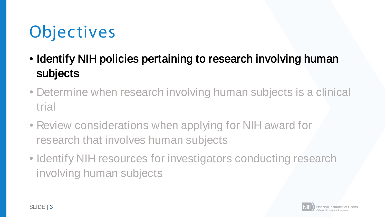## **Objectives**

- Identify NIH policies pertaining to research involving human subjects
- Determine when research involving human subjects is a clinical trial
- Review considerations when applying for NIH award for research that involves human subjects
- Identify NIH resources for investigators conducting research involving human subjects

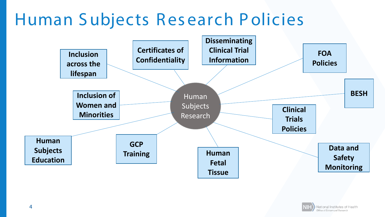### Human Subjects Research Policies



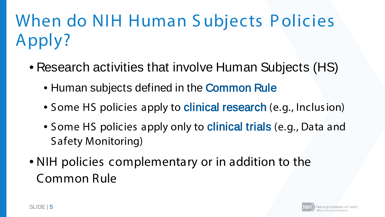# When do NIH Human Subjects Policies Apply?

- Research activities that involve Human Subjects (HS)
	- Human subjects defined in the **Common Rule**
	- Some HS policies apply to **clinical research** (e.g., Inclusion)
	- Some HS policies apply only to **clinical trials** (e.g., Data and Safety Monitoring)
- NIH policies complementary or in addition to the Common Rule

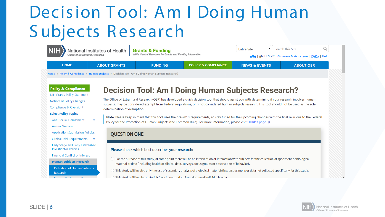### **Decision Tool: Am I Doing Human** Subjects Research

Q National Institutes of Health **Entire Site** Search this Site **Grants & Funding** NIH's Central Resource for Grants and Funding Information ice of Extramural Research **eRA | ANIH Staff | Glossary & Acronyms | FAQs | Help POLICY & COMPLIANCE HOME ABOUT GRANTS NEWS & EVENTS FUNDING ABOUT OER** Home » Policy & Compliance » Human Subjects » Decision Tool: Am I Doing Human Subjects Research? **Policy & Compliance Decision Tool: Am I Doing Human Subjects Research?** 

> The Office of Extramural Research (OER) has developed a quick decision tool that should assist you with determining if your research involves human subjects, may be considered exempt from Federal regulations, or is not considered human subjects research. This tool should not be used as the sole determination of exemption.

Note: Please keep in mind that this tool uses the pre-2018 requirements, so stay tuned for the upcoming changes with the final revisions to the Federal Policy for the Protection of Human Subjects (the Common Rule). For more information, please visit OHRP's page  $\varnothing$ .

#### **OUESTION ONE**

#### Please check which best describes your research:

- $\bigcirc$  For the purpose of this study, at some point there will be an intervention or interaction with subjects for the collection of specimens or biological material or data (including health or clinical data, surveys, focus groups or observation of behavior).
- $\circlearrowright$  This study will involve only the use of secondary analysis of biological material/tissue/specimens or data not collected specifically for this study.
- ) This study will involve materials/specimens or data from deceased individuals only.



 $\mathbf{v}$ 

**NIH Grants Policy Statement** 

Notices of Policy Changes

Compliance & Oversight

**Anti-Sexual Harassment** 

**Application Submission Policies** 

Clinical Trial Requirements + Early Stage and Early Established

**Financial Conflict of Interest** 

**Human Subjects Research** 

Definition of Human Subjects

**Dro and Doot Award Drogoni** 

**Select Policy Topics** 

**Animal Welfare** 

**Investigator Policies** 

Research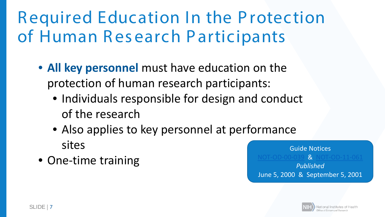### R equired Education In the P rotection of Human Research Participants

- **All key personnel** must have education on the protection of human research participants:
	- Individuals responsible for design and conduct of the research
	- Also applies to key personnel at performance sites
- One-time training

Guide Notices **& [NOT-OD-11-061](https://grants.nih.gov/grants/guide/notice-files/NOT-OD-01-061.html)** *Published* June 5, 2000 & September 5, 2001

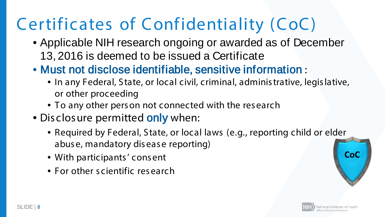### Certificates of Confidentiality (CoC)

- Applicable NIH research ongoing or awarded as of December 13, 2016 is deemed to be issued a Certificate
- Must not disclose identifiable, sensitive information :
	- In any Federal, State, or local civil, criminal, adminis trative, legis lative, or other proceeding
	- To any other pers on not connected with the res earch
- Disclosure permitted only when:
	- Required by Federal, State, or local laws (e.g., reporting child or elder abus e, mandatory dis ease reporting)
	- With participants' consent
	- For other scientific research

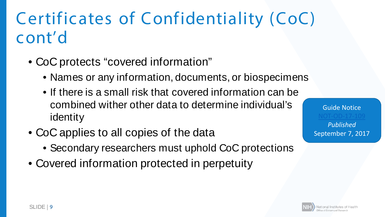### Certificates of Confidentiality (CoC) cont'd

- CoC protects "covered information"
	- Names or any information, documents, or biospecimens
	- If there is a small risk that covered information can be combined wither other data to determine individual's identity
- CoC applies to all copies of the data
	- Secondary researchers must uphold CoC protections
- Covered information protected in perpetuity

Guide Notice [NOT-OD-17-109](https://grants.nih.gov/grants/guide/notice-files/NOT-OD-17-109.html) *Published*  September 7, 2017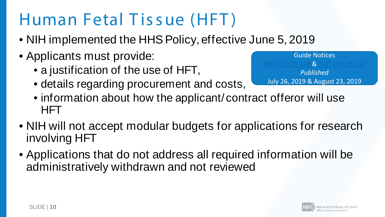### Human Fetal Tissue (HFT)

- NIH implemented the HHS Policy, effective June 5, 2019
- Applicants must provide:
	- a justification of the use of HFT,
	- details regarding procurement and costs,

Guide Notices [NOT-OD-19-128](https://grants.nih.gov/grants/guide/notice-files/NOT-OD-19-128.html) & [NOT-OD-19-137](https://grants.nih.gov/grants/guide/notice-files/NOT-OD-19-137.html) *Published* July 26, 2019 & August 23, 2019

- information about how the applicant/contract offeror will use HFT
- NIH will not accept modular budgets for applications for research involving HFT
- Applications that do not address all required information will be administratively withdrawn and not reviewed

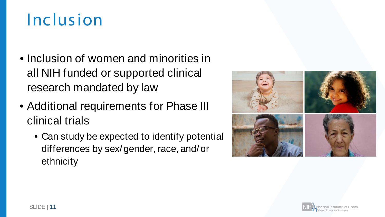### Inclus ion

- Inclusion of women and minorities in all NIH funded or supported clinical research mandated by law
- Additional requirements for Phase III clinical trials
	- Can study be expected to identify potential differences by sex/gender, race, and/or ethnicity



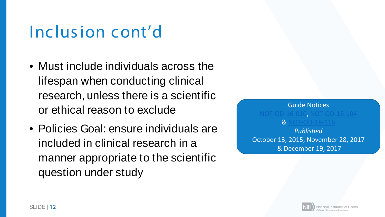### Inclus ion cont'd

- Must include individuals across the lifespan when conducting clinical research, unless there is a scientific or ethical reason to exclude
- Policies Goal: ensure individuals are included in clinical research in a manner appropriate to the scientific question under study



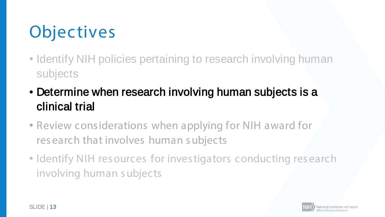# **Objectives**

- Identify NIH policies pertaining to research involving human subjects
- Determine when research involving human subjects is a clinical trial
- Review cons iderations when applying for NIH award for res earch that involves human s ubjects
- Identify NIH resources for investigators conducting research involving human s ubjects

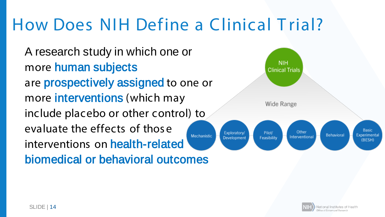### How Does NIH Define a Clinical T rial?

A research study in which one or more human subjects are prospectively assigned to one or more **interventions** (which may include placebo or other control) to evaluate the effects of thos e Mechanistic interventions on health-related biomedical or behavioral outcomes



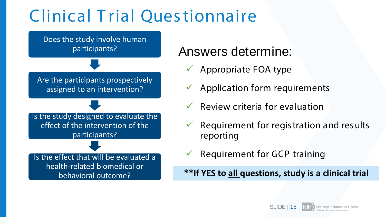### Clinical T rial Ques tionnaire



### Answers determine:

- Appropriate FOA type
- Application form requirements
- Review criteria for evaluation
- Requirement for regis tration and res ults reporting
- Requirement for GCP training

behavioral outcome? **\*\*If YES to all questions, study is a clinical trial**

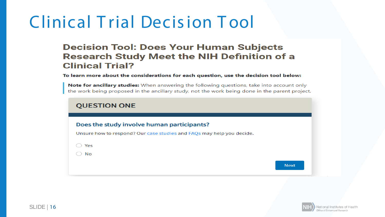### **Clinical Trial Decision Tool**

### **Decision Tool: Does Your Human Subjects Research Study Meet the NIH Definition of a Clinical Trial?**

To learn more about the considerations for each question, use the decision tool below:

Note for ancillary studies: When answering the following questions, take into account only the work being proposed in the ancillary study, not the work being done in the parent project.

### **QUESTION ONE**

### Does the study involve human participants?

Unsure how to respond? Our case studies and FAQs may help you decide.

 $\bigcirc$  Yes

 $\bigcirc$  No

**Next** 

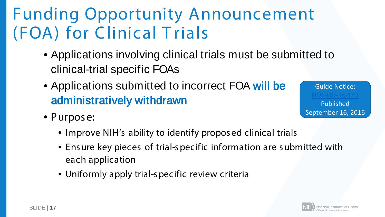### Funding Opportunity Announcement (FOA) for Clinical T rials

- Applications involving clinical trials must be submitted to clinical-trial specific FOAs
- Applications submitted to incorrect FOA will be administratively withdrawn
- Purpose:

Guide Notice: [NOT-OD-16-147](https://grants.nih.gov/grants/guide/notice-files/not-od-16-147.html) Published September 16, 2016

- Improve NIH's ability to identify proposed clinical trials
- Ens ure key pieces of trial-s pecific information are s ubmitted with each application
- Uniformly apply trial-s pecific review criteria

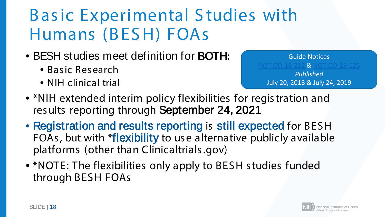### B as ic Experimental S tudies with Humans (BES H) FOAs

- BESH studies meet definition for BOTH:
	- Basic Research
	- NIH clinical trial

Guide Notices  $8$  Not-od-19-126 *Published* July 20, 2018 & July 24, 2019

- \*NIH extended interim policy flexibilities for registration and res ults reporting through September 24, 2021
- Registration and results reporting is still expected for BESH FOAs , but with \*flexibility to us e alternative publicly available platforms (other than Clinicaltrials .gov)
- \*NOTE: The flexibilities only apply to BESH s tudies funded through BESH FOAs

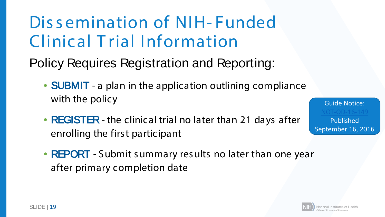Dis s emination of NIH- Funded Clinical T rial Information

Policy Requires Registration and Reporting:

- **SUBMIT** a plan in the application outlining compliance with the policy
- REGISTER the clinical trial no later than 21 days after enrolling the firs t participant
- REPORT Submit summary results no later than one year after primary completion date



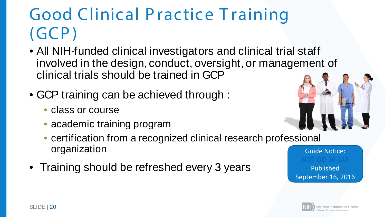### Good Clinical Practice Training (GCP)

- All NIH-funded clinical investigators and clinical trial staff involved in the design, conduct, oversight, or management of clinical trials should be trained in GCP
- GCP training can be achieved through :
	- class or course
	- academic training program
	- certification from a recognized clinical research professional organization
- Training should be refreshed every 3 years



Guide Notice: [NOT-OD-16-148](https://grants.nih.gov/grants/guide/notice-files/not-od-16-148.html) Published September 16, 2016

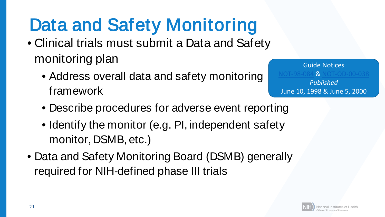# Data and Safety Monitoring

- Clinical trials must submit a Data and Safety monitoring plan
	- Address overall data and safety monitoring framework

Guide Notices **& [NOT-OD-00-038](https://grants.nih.gov/grants/guide/notice-files/not-od-00-038.html)** *Published* June 10, 1998 & June 5, 2000

- Describe procedures for adverse event reporting
- Identify the monitor (e.g. PI, independent safety monitor, DSMB, etc.)
- Data and Safety Monitoring Board (DSMB) generally required for NIH-defined phase III trials

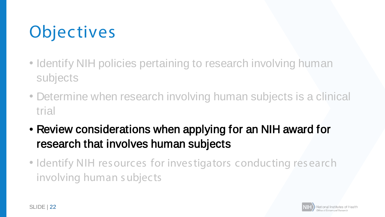## **Objectives**

- Identify NIH policies pertaining to research involving human subjects
- Determine when research involving human subjects is a clinical trial
- Review considerations when applying for an NIH award for research that involves human subjects
- Identify NIH resources for investigators conducting research involving human s ubjects

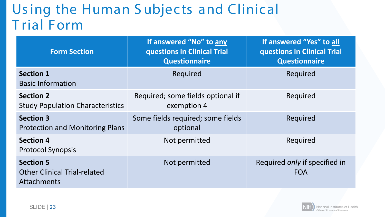### Us ing the Human S ubjects and Clinical T rial Form

| <b>Form Section</b>                                                    | If answered "No" to any<br>questions in Clinical Trial<br><b>Questionnaire</b> | If answered "Yes" to all<br>questions in Clinical Trial<br><b>Questionnaire</b> |
|------------------------------------------------------------------------|--------------------------------------------------------------------------------|---------------------------------------------------------------------------------|
| <b>Section 1</b><br><b>Basic Information</b>                           | Required                                                                       | Required                                                                        |
| <b>Section 2</b><br><b>Study Population Characteristics</b>            | Required; some fields optional if<br>exemption 4                               | Required                                                                        |
| <b>Section 3</b><br><b>Protection and Monitoring Plans</b>             | Some fields required; some fields<br>optional                                  | Required                                                                        |
| <b>Section 4</b><br><b>Protocol Synopsis</b>                           | Not permitted                                                                  | Required                                                                        |
| <b>Section 5</b><br><b>Other Clinical Trial-related</b><br>Attachments | Not permitted                                                                  | Required only if specified in<br><b>FOA</b>                                     |

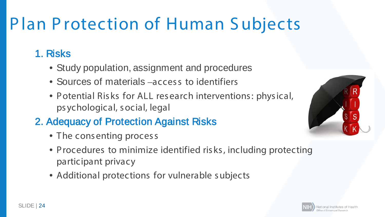## Plan Protection of Human Subjects

### 1. Risks

- Study population, assignment and procedures
- Sources of materials –access to identifiers
- Potential Risks for ALL research interventions: physical, ps ychological, s ocial, legal

### 2. Adequacy of Protection Against Risks

- The consenting process
- Procedures to minimize identified ris ks , including protecting participant privacy
- Additional protections for vulnerable s ubjects



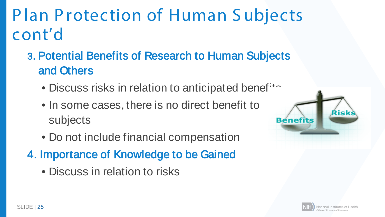**Plan Protection of Human Subjects** cont'd

- 3. Potential Benefits of Research to Human Subjects and Others
	- Discuss risks in relation to anticipated benef<sup>14</sup>
	- In some cases, there is no direct benefit to subjects
	- Do not include financial compensation
- 4. Importance of Knowledge to be Gained
	- Discuss in relation to risks



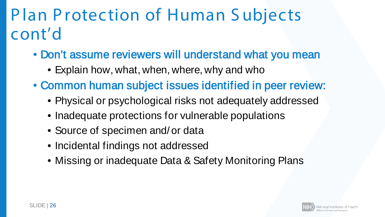### P lan P rotection of Human S ubjects cont'd

- Don't assume reviewers will understand what you mean
	- Explain how, what, when, where, why and who
- Common human subject issues identified in peer review:
	- Physical or psychological risks not adequately addressed
	- Inadequate protections for vulnerable populations
	- Source of specimen and/or data
	- Incidental findings not addressed
	- Missing or inadequate Data & Safety Monitoring Plans

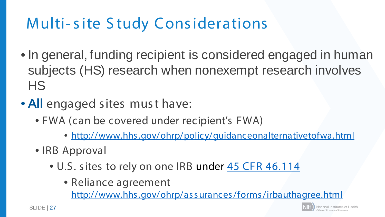### **Multi-site Study Considerations**

- In general, funding recipient is considered engaged in human subjects (HS) research when nonexempt research involves **HS**
- All engaged sites must have:
	- FWA (can be covered under recipient's FWA)
		- · http://www.hhs.gov/ohrp/policy/guidanceonalternativetofwa.html
	- IRB Approval
		- . U.S. sites to rely on one IRB under 45 CFR 46.114
			- Reliance agreement

http://www.hhs.gov/ohrp/assurances/forms/irbauthagree.html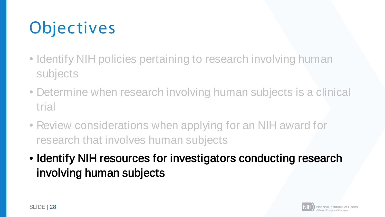# **Objectives**

- Identify NIH policies pertaining to research involving human subjects
- Determine when research involving human subjects is a clinical trial
- Review considerations when applying for an NIH award for research that involves human subjects
- Identify NIH resources for investigators conducting research involving human subjects

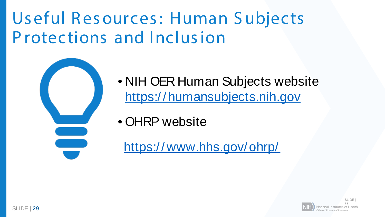### Useful Resources: Human Subjects Protections and Inclusion



• NIH OER Human Subjects website https://humansubjects.nih.gov

• OHRP website

https://www.hhs.gov/ohrp/